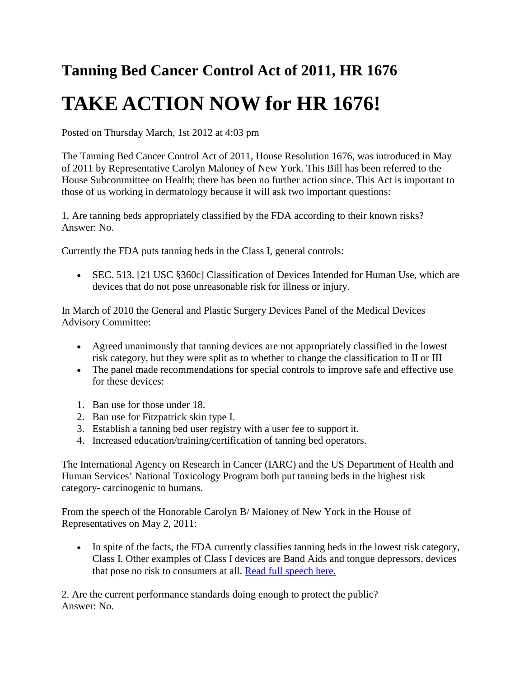## **Tanning Bed Cancer Control Act of 2011, HR 1676 TAKE ACTION NOW for HR 1676!**

Posted on Thursday March, 1st 2012 at 4:03 pm

The Tanning Bed Cancer Control Act of 2011, House Resolution 1676, was introduced in May of 2011 by Representative Carolyn Maloney of New York. This Bill has been referred to the House Subcommittee on Health; there has been no further action since. This Act is important to those of us working in dermatology because it will ask two important questions:

1. Are tanning beds appropriately classified by the FDA according to their known risks? Answer: No.

Currently the FDA puts tanning beds in the Class I, general controls:

• SEC. 513. [21 USC §360c] Classification of Devices Intended for Human Use, which are devices that do not pose unreasonable risk for illness or injury.

In March of 2010 the General and Plastic Surgery Devices Panel of the Medical Devices Advisory Committee:

- Agreed unanimously that tanning devices are not appropriately classified in the lowest risk category, but they were split as to whether to change the classification to II or III
- The panel made recommendations for special controls to improve safe and effective use for these devices:
- 1. Ban use for those under 18.
- 2. Ban use for Fitzpatrick skin type I.
- 3. Establish a tanning bed user registry with a user fee to support it.
- 4. Increased education/training/certification of tanning bed operators.

The International Agency on Research in Cancer (IARC) and the US Department of Health and Human Services' National Toxicology Program both put tanning beds in the highest risk category- carcinogenic to humans.

From the speech of the Honorable Carolyn B/ Maloney of New York in the House of Representatives on May 2, 2011:

• In spite of the facts, the FDA currently classifies tanning beds in the lowest risk category, Class I. Other examples of Class I devices are Band Aids and tongue depressors, devices that pose no risk to consumers at all. [Read full speech here.](http://www.dnanurse.org/sites/default/files/downloads/2012/SPEECH%20OF%20Hon.%20C.%20Maloney.pdf)

2. Are the current performance standards doing enough to protect the public? Answer: No.